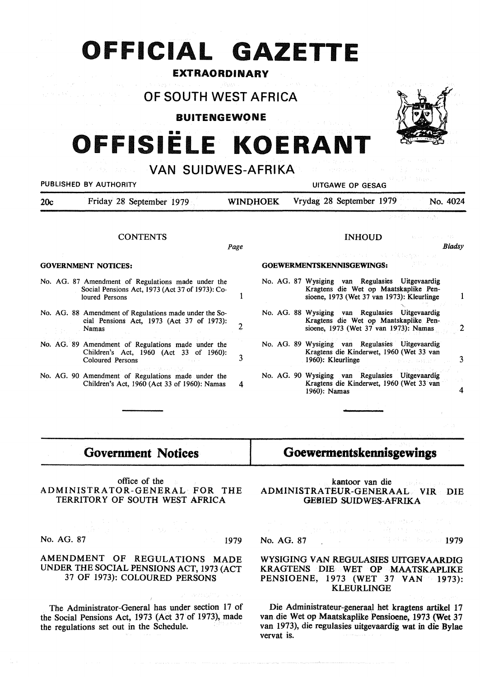## **OFFICIAL GAZETTE**

### **EXTRAORDINARY**

## **OF SOUTH WEST AFRICA**

**BUITENGEWONE** 

# **OFFISIELE KOERANT**

**VAN SUIDWES-AFRIKA** 



| PUBLISHED BY AUTHORITY          |                                                                                                                         |                 | <b>UITGAWE OP GESAG</b>                                                   |              |                                                                                                                                        |                                      |          |  |
|---------------------------------|-------------------------------------------------------------------------------------------------------------------------|-----------------|---------------------------------------------------------------------------|--------------|----------------------------------------------------------------------------------------------------------------------------------------|--------------------------------------|----------|--|
| Friday 28 September 1979<br>20c |                                                                                                                         | <b>WINDHOEK</b> |                                                                           |              | Vrydag 28 September 1979                                                                                                               |                                      | No. 4024 |  |
|                                 |                                                                                                                         |                 |                                                                           |              |                                                                                                                                        | and starting<br>D. H. C.             |          |  |
|                                 | <b>CONTENTS</b>                                                                                                         |                 |                                                                           |              | <b>INHOUD</b>                                                                                                                          | 法无法承认 人名科利亚人 前妻名                     |          |  |
|                                 |                                                                                                                         | Page            |                                                                           |              |                                                                                                                                        |                                      | Bladsy   |  |
| <b>GOVERNMENT NOTICES:</b>      |                                                                                                                         |                 | 회문 상에 가고 있다<br>i kacamatan ing Kabupatèn Bag<br>GOEWERMENTSKENNISGEWINGS: |              |                                                                                                                                        |                                      |          |  |
|                                 | No. AG. 87 Amendment of Regulations made under the<br>Social Pensions Act, 1973 (Act 37 of 1973): Co-<br>loured Persons |                 |                                                                           |              | No. AG. 87 Wysiging van Regulasies Uitgevaardig<br>Kragtens die Wet op Maatskaplike Pen-<br>sioene, 1973 (Wet 37 van 1973): Kleurlinge |                                      |          |  |
|                                 | No. AG. 88 Amendment of Regulations made under the So-<br>cial Pensions Act, 1973 (Act 37 of 1973):<br><b>Namas</b>     |                 |                                                                           |              | No. AG. 88 Wysiging van Regulasies Uitgevaardig<br>Kragtens die Wet op Maatskaplike Pen-<br>sioene, 1973 (Wet 37 van 1973): Namas      |                                      |          |  |
|                                 | No. AG. 89 Amendment of Regulations made under the<br>Children's Act, 1960 (Act 33 of 1960):<br>Coloured Persons        | 3               |                                                                           |              | No. AG. 89 Wysiging van Regulasies Uitgevaardig<br>Kragtens die Kinderwet, 1960 (Wet 33 van<br>1960): Kleurlinge                       | The Constitution of the Constitution | 3        |  |
|                                 | No. AG. 90 Amendment of Regulations made under the<br>Children's Act, 1960 (Act 33 of 1960): Namas                      | 4               |                                                                           | 1960): Namas | No. AG. 90 Wysiging van Regulasies Uitgevaardig<br>Kragtens die Kinderwet, 1960 (Wet 33 van                                            |                                      |          |  |
|                                 |                                                                                                                         |                 |                                                                           |              |                                                                                                                                        |                                      |          |  |

## **Government Notices**

office of the ADMINISTRATOR-GENERAL FOR THE TERRITORY OF SOUTH WEST AFRICA

No. AG. 87 1979

AMENDMENT OF REGULATIONS MADE UNDER THE SOCIAL PENSIONS ACT, 1973 (ACT

The Administrator-General has under section 17 of the Social Pensions Act, 1973 (Act 37 of 1973), made the regulations set out in the Schedule.

37 OF 1973): COLOURED **PERSONS** 

## **Goewermentskennisgewings**

kantoor van die ADMINISTRATEUR-GENERAAL VIR DIE GEBIED SUIDWES-AFRIKA

No. AG. 87 **1979** 

#### WYSIGING VAN REGULASIES UITGEV AARDIG KRAGTENS DIE WET OP MAATSKAPLIKE PENSIOENE, 1973 (WET 37 VAN 1973): KLEURLINGE

Die Administrateur-generaal bet kragtens artikel 17 van die Wet op Maatskaplike Pensioene, 1973 {Wet 37 van 1973), die regulasies uitgevaardig wat in die Bylae vervat is.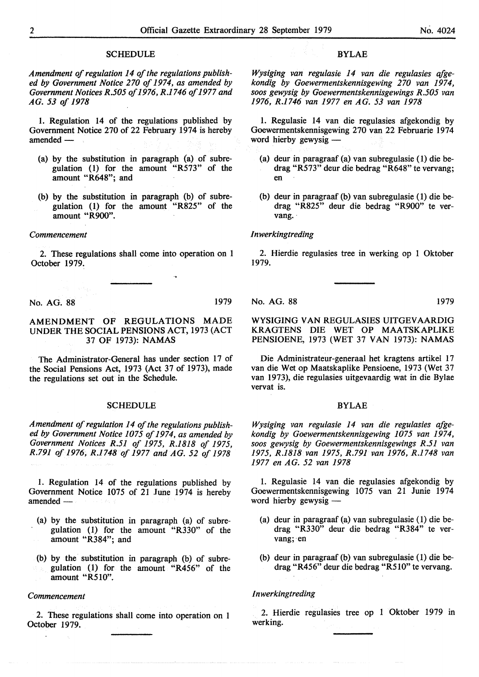#### **SCHEDULE**

*Amendment of regulation 14 of the regulations published by Government Notice 270 of 1974, as amended by Government Notices R.505 of 1976, R.1746 of 1977 and AG. 53 of 1978* 

1. Regulation 14 of the regulations published by Government Notice 270 of 22 February 1974 is hereby  $a$ mended $-$ 

- (a) by the substitution in paragraph (a) of subregulation (1) for the amount "R573" of the amount "R648"; and
- (b) by the substitution in paragraph (b) of subregulation (I) for the amount "R825" of the amount "R900".

#### *Commencement*

2. These regulations shall come into operation on 1 October 1979.

No. AG. 88 1979

#### AMENDMENT OF REGULATIONS MADE UNDER THE SOCIAL PENSIONS ACT, 1973 (ACT 37 OF 1973): **NAMAS**

The Administrator-General has under section 17 of the Social Pensions Act, 1973 (Act 37 of 1973), made the regulations set out in the Schedule.

#### **SCHEDULE**

*Amendment of regulation 14 of the regulations published by Government Notice 1075 of 1974, as amended by Government Notices R.51 of 1975, R.1818 of 1975, R.791 of 1976, R.1748 of 1977 and AG. 52 of 1978* 

1. Regulation 14 of the regulations published by Government Notice 1075 of 21 June 1974 is hereby amended —

- (a) by the substitution in paragraph (a) of subregulation (1) for the amount "R330" of the amount "R384"; and
- (b) by the substitution in paragraph (b) of subregulation (1) for the amount "R456" of the amount "R510".

#### *Commencement*

 $\overline{a}$ 

2. These regulations shall come into operation on 1 October 1979.

#### BYLAE

*Wysiging van regulasie 14 van die regulasies qfgekondig by Goewermentskennisgewing 270 van 1974, soos gewysig by Goewermentskennisgewings R.505 van 1976, R.1746 van 1977 en AG. 53 van 1978* 

1. Regulasie 14 van die regulasies afgekondig by Goewermentskennisgewing 270 van 22 Februarie 1974 word hierby gewysig -

- (a) deur in paragraaf (a) van subregulasie (1) die bedrag "R573" deur die bedrag "R648" te vervang; en
- (b) deur in paragraaf (b) van subregulasie (1) die bedrag "R825" deur die bedrag "R900" te vervang.

#### *Inwerkingtreding*

2. Hierdie regulasies tree in werking op 1 Oktober 1979.

#### No. AG. 88 1979

WYSIGING VAN REGULASIES UITGEV AARDIG KRAGTENS DIE WET OP MAATSKAPLIKE PENSIOENE, 1973 (WET 37 VAN 1973): NAMAS

Die Administrateur-generaal het kragtens artikel 17 van die Wet op Maatskaplike Pensioene, 1973 (Wet 37 van 1973), die regulasies uitgevaardig wat in die Bylae vervat is.

#### **BYLAE**

*Wysiging van regulasie 14 van die regulasies afgekondig by Goewermentskennisgewing 1075 van 1974, soos gewysig by Goewermentskennisgewings R.51 van 1975, R.1818 van 1975, R.791 van 1976, R.1748 van 1977 en AG. 52 van 1978* 

1. Regulasie 14 van die regulasies afgekondig by Goewermentskennisgewing 1075 van 21 Junie 1974 word hierby gewysig -

- (a) deur in paragraaf (a) van subregulasie (I) die bedrag "R330" deur die bedrag "R384" te vervang; en
- (b) deur in paragraaf (b) van subregulasie (1) die bedrag "R456" deur die bedrag "R510" te vervang.

#### *I nwerkingtreding*

2. Hierdie regulasies tree op 1 Oktober 1979 in werking.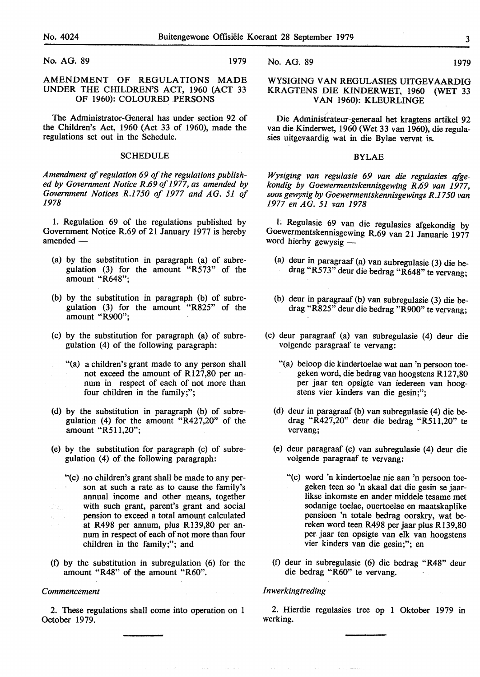No. AG. 89 1979

#### AMENDMENT OF REGULATIONS MADE UNDER THE CHILDREN'S ACT, 1960 (ACT 33 OF 1960): COLOURED PERSONS

The Administrator-General has under section 92 of the Children's Act, 1960 (Act 33 of 1960), made the regulations set out in the Schedule.

#### **SCHEDULE**

*Amendment of regulation 69 of the regulations published by Government Notice R.69 of 1977, as amended by Government Notices R.1750 of 1977 and AG. 51 of 1978* 

I. Regulation 69 of the regulations published by Government Notice R.69 of 21 January 1977 is hereby amended -

- (a) by the substitution in paragraph (a) of subregulation (3) for the amount "R573" of the amount "R648";
- (b) by the substitution in paragraph (b) of subregulation (3) for the amount "R825" of the amount "R900";
- (c) by the substitution for paragraph (a) of subregulation (4) of the following paragraph:
	- "(a) a children's grant made to any person shall not exceed the amount of R127,80 per annum in respect of each of not more than four children in the family;";
- (d) by the substitution in paragraph (b) of subregulation (4) for the amount "R427,20" of the amount "R511,20";
- (e) by the substitution for paragraph (c) of subregulation  $(4)$  of the following paragraph:
	- "(c) no children's grant shall be made to any person at such a rate as to cause the family's annual income and other means, together with such grant, parent's grant and social pension to exceed a total amount calculated at R498 per annum, plus R139,80 per annum in respect of each of not more than four children in the family;"; and
- (f) by the substitution in subregulation (6) for the amount "R48" of the amount "R60".

#### *Commencement*

2. These regulations shall come into operation on 1 October 1979.

No. AG. 89 1979

#### WYSIGING VAN REGULASIES UITGEV AARDIG KRAGTENS DIE KINDERWET, 1960 (WET 33 VAN 1960): KLEURLINGE

Die Administrateur-generaal het kragtens artikel 92 van die Kinderwet, 1960 (Wet 33 van 1960), die regulasies uitgevaardig wat in die Bylae vervat is.

#### BYLAE

*Wysiging van regulasie 69 van die regulasies qfgekondig by Goewermentskennisgewing R.69 van 1977, soos gewysig by Goewermentskennisgewings R.17 50 van 1977 en AG. 51 van 1978* 

1; Regulasie 69 van die regulasies afgekondig by Goewermentskennisgewing R.69 van 21 Januarie 1977 word hierby gewysig -

- (a) deur in paragraaf (a) van subregulasie (3) die bedrag "R573" deur die bedrag "R648" te vervang;
- (b) deur in paragraaf (b) van subregulasie (3) die bedrag "R825" deur die bedrag "R900" te vervang;
- (c) deur paragraaf (a) van subregulasie (4) deur die volgende paragraaf te vervang:
	- "(a) beloop die kindertoelae wat aan 'n persoon toegeken word, die bedrag van hoogstens Rl27,80 per jaar ten opsigte van iedereen van hoogstens vier kinders van die gesin;";
	- (d) deur in paragraaf (b) van subregulasie (4) die bedrag "R427,20" deur die bedrag "R511,20" te vervang;
	- (e) deur paragraaf (c) van subregulasie (4) deur die volgende paragraaf te vervang:
		- "(c) word 'n kindertoelae nie aan 'n persoon toegeken teen so 'n skaal dat die gesin se jaarlikse inkomste en ander middele tesame met sodanige toelae, ouertoelae en maatskaplike pensioen 'n totale bedrag oorskry, wat bereken word teen R498 per jaar plus R139,80 per jaar ten opsigte van elk van hoogstens vier kinders van die gesin;"; en
	- (f) deur in subregulasie (6) die bedrag "R48" deur die bedrag "R60" te vervang.

#### *lnwerkingtreding*

2. Hierdie regulasies tree op 1 Oktober 1979 in werking.